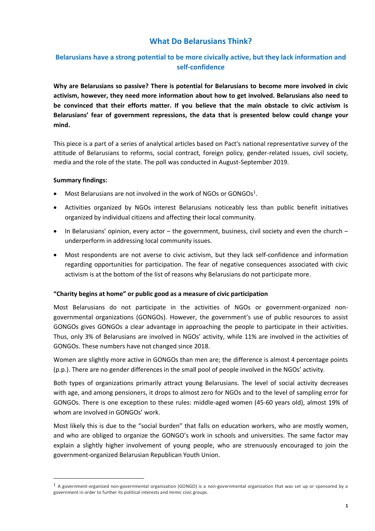# **What Do Belarusians Think?**

## **Belarusians have a strong potential to be more civically active, but they lack information and self-confidence**

**Why are Belarusians so passive? There is potential for Belarusians to become more involved in civic activism, however, they need more information about how to get involved. Belarusians also need to be convinced that their efforts matter. If you believe that the main obstacle to civic activism is Belarusians' fear of government repressions, the data that is presented below could change your mind.**

This piece is a part of a series of analytical articles based on Pact's national representative survey of the attitude of Belarusians to reforms, social contract, foreign policy, gender-related issues, civil society, media and the role of the state. The poll was conducted in August-September 2019.

### **Summary findings:**

- $\bullet$  Most Belarusians are not involved in the work of NGOs or GONGOs<sup>1</sup>.
- Activities organized by NGOs interest Belarusians noticeably less than public benefit initiatives organized by individual citizens and affecting their local community.
- In Belarusians' opinion, every actor the government, business, civil society and even the church underperform in addressing local community issues.
- Most respondents are not averse to civic activism, but they lack self-confidence and information regarding opportunities for participation. The fear of negative consequences associated with civic activism is at the bottom of the list of reasons why Belarusians do not participate more.

### **"Charity begins at home" or public good as a measure of civic participation**

Most Belarusians do not participate in the activities of NGOs or government-organized nongovernmental organizations (GONGOs). However, the government's use of public resources to assist GONGOs gives GONGOs a clear advantage in approaching the people to participate in their activities. Thus, only 3% of Belarusians are involved in NGOs' activity, while 11% are involved in the activities of GONGOs. These numbers have not changed since 2018.

Women are slightly more active in GONGOs than men are; the difference is almost 4 percentage points (p.p.). There are no gender differences in the small pool of people involved in the NGOs' activity.

Both types of organizations primarily attract young Belarusians. The level of social activity decreases with age, and among pensioners, it drops to almost zero for NGOs and to the level of sampling error for GONGOs. There is one exception to these rules: middle-aged women (45-60 years old), almost 19% of whom are involved in GONGOs' work.

Most likely this is due to the "social burden" that falls on education workers, who are mostly women, and who are obliged to organize the GONGO's work in schools and universities. The same factor may explain a slightly higher involvement of young people, who are strenuously encouraged to join the government-organized Belarusian Republican Youth Union.

<sup>1</sup> A government-organized non-governmental organization (GONGO) is a non-governmental organization that was set up or sponsored by a government in order to further its political interests and mimic civic groups.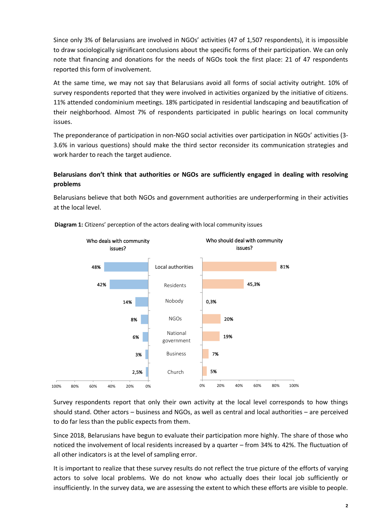Since only 3% of Belarusians are involved in NGOs' activities (47 of 1,507 respondents), it is impossible to draw sociologically significant conclusions about the specific forms of their participation. We can only note that financing and donations for the needs of NGOs took the first place: 21 of 47 respondents reported this form of involvement.

At the same time, we may not say that Belarusians avoid all forms of social activity outright. 10% of survey respondents reported that they were involved in activities organized by the initiative of citizens. 11% attended condominium meetings. 18% participated in residential landscaping and beautification of their neighborhood. Almost 7% of respondents participated in public hearings on local community issues.

The preponderance of participation in non-NGO social activities over participation in NGOs' activities (3- 3.6% in various questions) should make the third sector reconsider its communication strategies and work harder to reach the target audience.

## **Belarusians don't think that authorities or NGOs are sufficiently engaged in dealing with resolving problems**

Belarusians believe that both NGOs and government authorities are underperforming in their activities at the local level.



**Diagram 1:** Citizens' perception of the actors dealing with local community issues

Survey respondents report that only their own activity at the local level corresponds to how things should stand. Other actors – business and NGOs, as well as central and local authorities – are perceived to do far less than the public expects from them.

Since 2018, Belarusians have begun to evaluate their participation more highly. The share of those who noticed the involvement of local residents increased by a quarter – from 34% to 42%. The fluctuation of all other indicators is at the level of sampling error.

It is important to realize that these survey results do not reflect the true picture of the efforts of varying actors to solve local problems. We do not know who actually does their local job sufficiently or insufficiently. In the survey data, we are assessing the extent to which these efforts are visible to people.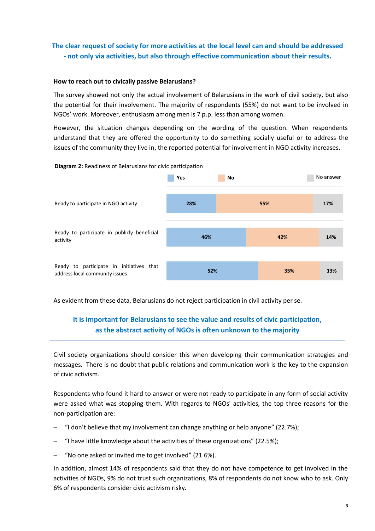## **The clear request of society for more activities at the local level can and should be addressed - not only via activities, but also through effective communication about their results.**

### **How to reach out to civically passive Belarusians?**

The survey showed not only the actual involvement of Belarusians in the work of civil society, but also the potential for their involvement. The majority of respondents (55%) do not want to be involved in NGOs' work. Moreover, enthusiasm among men is 7 p.p. less than among women.

However, the situation changes depending on the wording of the question. When respondents understand that they are offered the opportunity to do something socially useful or to address the issues of the community they live in, the reported potential for involvement in NGO activity increases.

#### **Diagram 2:** Readiness of Belarusians for civic participation



As evident from these data, Belarusians do not reject participation in civil activity per se.

## **It is important for Belarusians to see the value and results of civic participation, as the abstract activity of NGOs is often unknown to the majority**

Civil society organizations should consider this when developing their communication strategies and messages. There is no doubt that public relations and communication work is the key to the expansion of civic activism.

Respondents who found it hard to answer or were not ready to participate in any form of social activity were asked what was stopping them. With regards to NGOs' activities, the top three reasons for the non-participation are:

- − "I don't believe that my involvement can change anything or help anyone" (22.7%);
- − "I have little knowledge about the activities of these organizations" (22.5%);
- − "No one asked or invited me to get involved" (21.6%).

In addition, almost 14% of respondents said that they do not have competence to get involved in the activities of NGOs, 9% do not trust such organizations, 8% of respondents do not know who to ask. Only 6% of respondents consider civic activism risky.